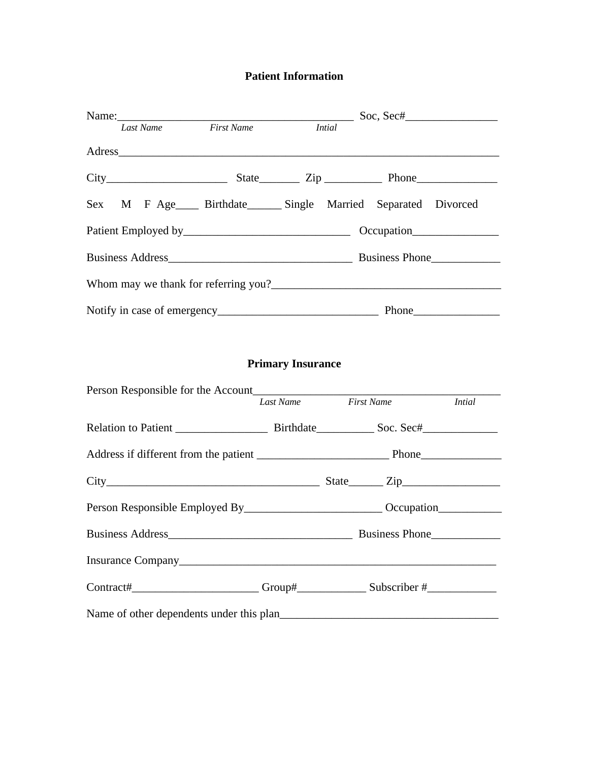### **Patient Information**

|                                                                                                      |                          |                   |  | $\frac{1}{2}$ Soc, Sec# $\frac{1}{2}$ |  |
|------------------------------------------------------------------------------------------------------|--------------------------|-------------------|--|---------------------------------------|--|
| <b>First Name</b><br>Last Name                                                                       |                          | <b>Intial</b>     |  |                                       |  |
|                                                                                                      |                          |                   |  |                                       |  |
| $City$ $City$ $State$ $Zip$ $Line$ $Phone$                                                           |                          |                   |  |                                       |  |
| Sex M F Age____ Birthdate______ Single Married Separated Divorced                                    |                          |                   |  |                                       |  |
|                                                                                                      |                          |                   |  |                                       |  |
|                                                                                                      |                          |                   |  |                                       |  |
|                                                                                                      |                          |                   |  |                                       |  |
|                                                                                                      |                          |                   |  |                                       |  |
|                                                                                                      |                          |                   |  |                                       |  |
|                                                                                                      | <b>Primary Insurance</b> |                   |  |                                       |  |
|                                                                                                      |                          |                   |  |                                       |  |
|                                                                                                      | Last Name                | <b>First Name</b> |  | <i>Intial</i>                         |  |
|                                                                                                      |                          |                   |  |                                       |  |
|                                                                                                      |                          |                   |  |                                       |  |
|                                                                                                      |                          |                   |  |                                       |  |
| Person Responsible Employed By__________________________________Occupation__________________________ |                          |                   |  |                                       |  |
| <b>Business Address</b><br>Business Phone                                                            |                          |                   |  |                                       |  |
|                                                                                                      |                          |                   |  |                                       |  |
| Contract#_________________________Group#_________________Subscriber #____________                    |                          |                   |  |                                       |  |
|                                                                                                      |                          |                   |  |                                       |  |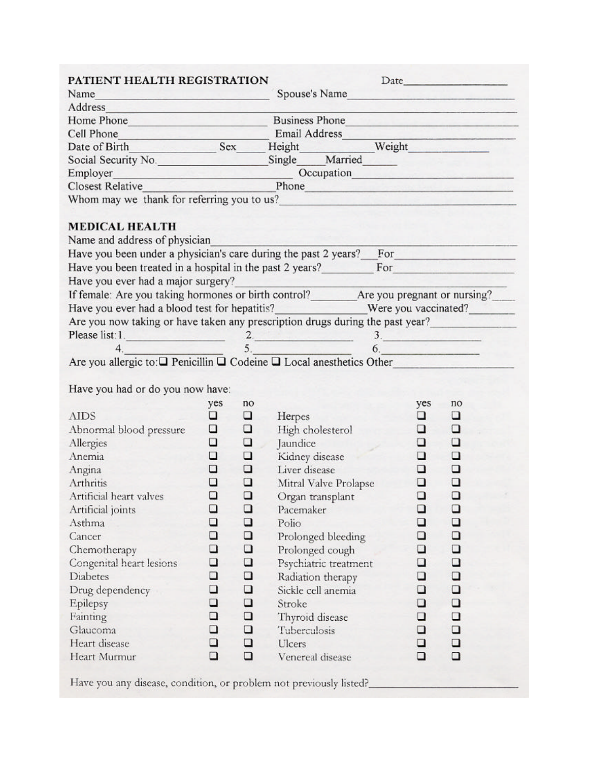| PATIENT HEALTH REGISTRATION                                                                                                                                                                                                   |                              |        |                    |                       |        | Date has been as a series of the series of the series of the series of the series of the series of the series of the series of the series of the series of the series of the series of the series of the series of the series        |
|-------------------------------------------------------------------------------------------------------------------------------------------------------------------------------------------------------------------------------|------------------------------|--------|--------------------|-----------------------|--------|--------------------------------------------------------------------------------------------------------------------------------------------------------------------------------------------------------------------------------------|
| Name<br><u> General Andrew Maria (Allen Andrew Mari</u>                                                                                                                                                                       |                              |        | Spouse's Name      |                       |        | <u> La Carlo de la Carlo de la Carlo de la Carlo de la Carlo de la Carlo de la Carlo de la Carlo de la Carlo de l</u>                                                                                                                |
| Address and the series of the series of the series of the series of the series of the series of the series of the series of the series of the series of the series of the series of the series of the series of the series of |                              |        |                    |                       |        |                                                                                                                                                                                                                                      |
|                                                                                                                                                                                                                               | Home Phone<br>Business Phone |        |                    |                       |        |                                                                                                                                                                                                                                      |
|                                                                                                                                                                                                                               |                              |        |                    |                       |        | <b>Company's company's company's company's company's company's company's company's company's company's company's company's company's company's company's company's company's company's company's company's company's company's c</b> |
| Cell Phone<br>Date of Birth Sex Height Weight Weight                                                                                                                                                                          |                              |        |                    |                       |        |                                                                                                                                                                                                                                      |
| Social Security No. 5ingle Married                                                                                                                                                                                            |                              |        |                    |                       |        |                                                                                                                                                                                                                                      |
|                                                                                                                                                                                                                               |                              |        |                    |                       |        |                                                                                                                                                                                                                                      |
|                                                                                                                                                                                                                               |                              |        |                    |                       |        |                                                                                                                                                                                                                                      |
| Whom may we thank for referring you to us?                                                                                                                                                                                    |                              |        |                    |                       |        | <u> 1975 - John Marie John Marie Barnett, amerikan </u>                                                                                                                                                                              |
|                                                                                                                                                                                                                               |                              |        |                    |                       |        |                                                                                                                                                                                                                                      |
| <b>MEDICAL HEALTH</b>                                                                                                                                                                                                         |                              |        |                    |                       |        |                                                                                                                                                                                                                                      |
| Name and address of physician                                                                                                                                                                                                 |                              |        |                    |                       |        |                                                                                                                                                                                                                                      |
| Have you been under a physician's care during the past 2 years? For                                                                                                                                                           |                              |        |                    |                       |        |                                                                                                                                                                                                                                      |
| Have you been treated in a hospital in the past 2 years?                                                                                                                                                                      |                              |        |                    |                       |        | For <b>Exercise Service Service</b>                                                                                                                                                                                                  |
| Have you ever had a major surgery?                                                                                                                                                                                            |                              |        |                    |                       |        |                                                                                                                                                                                                                                      |
| If female: Are you taking hormones or birth control? ________ Are you pregnant or nursing?                                                                                                                                    |                              |        |                    |                       |        |                                                                                                                                                                                                                                      |
|                                                                                                                                                                                                                               |                              |        |                    |                       |        |                                                                                                                                                                                                                                      |
| Are you now taking or have taken any prescription drugs during the past year?                                                                                                                                                 |                              |        |                    |                       |        |                                                                                                                                                                                                                                      |
|                                                                                                                                                                                                                               |                              |        |                    |                       |        |                                                                                                                                                                                                                                      |
|                                                                                                                                                                                                                               |                              |        |                    |                       |        |                                                                                                                                                                                                                                      |
| Please list: 1.<br>4.<br>Are you allergic to: $\Box$ Penicillin $\Box$ Codeine $\Box$ Local anesthetics Other                                                                                                                 |                              |        |                    |                       |        |                                                                                                                                                                                                                                      |
|                                                                                                                                                                                                                               |                              |        |                    |                       |        |                                                                                                                                                                                                                                      |
| Have you had or do you now have:                                                                                                                                                                                              |                              |        |                    |                       |        |                                                                                                                                                                                                                                      |
|                                                                                                                                                                                                                               | yes                          | no     |                    |                       | yes    | no                                                                                                                                                                                                                                   |
| <b>AIDS</b>                                                                                                                                                                                                                   | u                            | □      | Herpes             |                       | o      | ο                                                                                                                                                                                                                                    |
| Abnormal blood pressure                                                                                                                                                                                                       | $\Box$                       | □      |                    | High cholesterol      | □      | □                                                                                                                                                                                                                                    |
| Allergies                                                                                                                                                                                                                     | □                            | □      | Jaundice           |                       | □      | $\Box$                                                                                                                                                                                                                               |
| Anemia                                                                                                                                                                                                                        | □                            | O      | Kidney disease     |                       | □      | □                                                                                                                                                                                                                                    |
| Angina                                                                                                                                                                                                                        | ❏                            | □      | Liver disease      |                       | ▫      | ◘                                                                                                                                                                                                                                    |
| Arthritis                                                                                                                                                                                                                     | $\Box$                       | □      |                    | Mitral Valve Prolapse | □      | ❏                                                                                                                                                                                                                                    |
| Artificial heart valves                                                                                                                                                                                                       | □                            | □      |                    | Organ transplant      | $\Box$ | $\Box$                                                                                                                                                                                                                               |
| Artificial joints                                                                                                                                                                                                             | □                            | □      | Pacemaker          |                       | □      | ❏                                                                                                                                                                                                                                    |
| Asthma                                                                                                                                                                                                                        | ❏                            | ❏      | Polio              |                       | □      | □                                                                                                                                                                                                                                    |
| Cancer                                                                                                                                                                                                                        | ❏                            | □      | Prolonged bleeding |                       | □      | □                                                                                                                                                                                                                                    |
| Chemotherapy                                                                                                                                                                                                                  | ❏                            | □      | Prolonged cough    |                       | □      | $\Box$                                                                                                                                                                                                                               |
| Congenital heart lesions                                                                                                                                                                                                      | ❏                            | $\Box$ |                    | Psychiatric treatment | □      | $\Box$                                                                                                                                                                                                                               |
| <b>Diabetes</b>                                                                                                                                                                                                               | □                            | □      | Radiation therapy  |                       | □      | □                                                                                                                                                                                                                                    |
| Drug dependency                                                                                                                                                                                                               | ❏                            | □      | Sickle cell anemia |                       | □      | □                                                                                                                                                                                                                                    |
| Epilepsy                                                                                                                                                                                                                      | □                            | ο      | Stroke             |                       | □      | □                                                                                                                                                                                                                                    |
| Fainting                                                                                                                                                                                                                      | ❏                            | □      | Thyroid disease    |                       | □      | □                                                                                                                                                                                                                                    |
| Glaucoma                                                                                                                                                                                                                      | ❏                            | $\Box$ | Tuberculosis       |                       | □      | □                                                                                                                                                                                                                                    |
|                                                                                                                                                                                                                               | □                            | $\Box$ |                    |                       |        |                                                                                                                                                                                                                                      |
| Heart disease                                                                                                                                                                                                                 | □                            | $\Box$ | Ulcers             |                       | □      | □<br>$\Box$                                                                                                                                                                                                                          |
| Heart Murmur                                                                                                                                                                                                                  |                              |        | Venereal disease   |                       | ❏      |                                                                                                                                                                                                                                      |
| Have you any disease, condition, or problem not previously listed?                                                                                                                                                            |                              |        |                    |                       |        |                                                                                                                                                                                                                                      |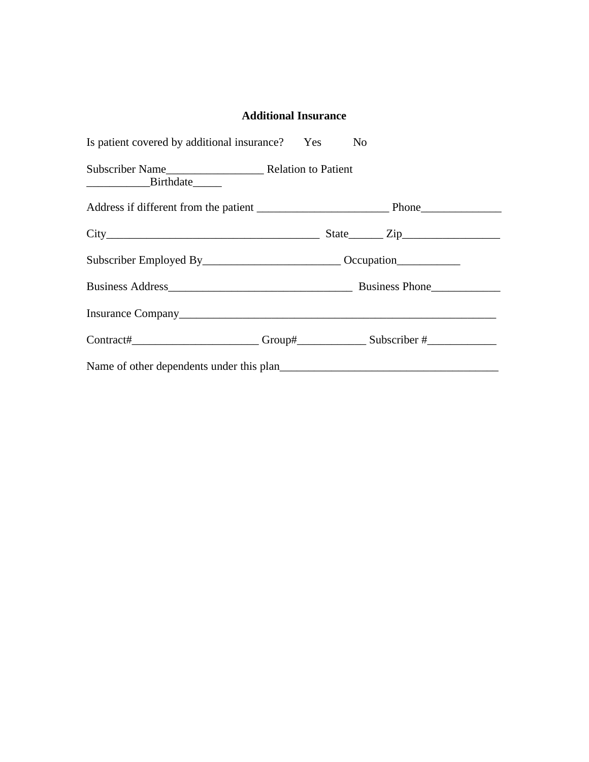### **Additional Insurance**

| Is patient covered by additional insurance? Yes No                                      |  |  |
|-----------------------------------------------------------------------------------------|--|--|
|                                                                                         |  |  |
|                                                                                         |  |  |
|                                                                                         |  |  |
| Subscriber Employed By_______________________________Occupation_________________        |  |  |
|                                                                                         |  |  |
|                                                                                         |  |  |
| Contract#__________________________Group#__________________Subscriber #________________ |  |  |
|                                                                                         |  |  |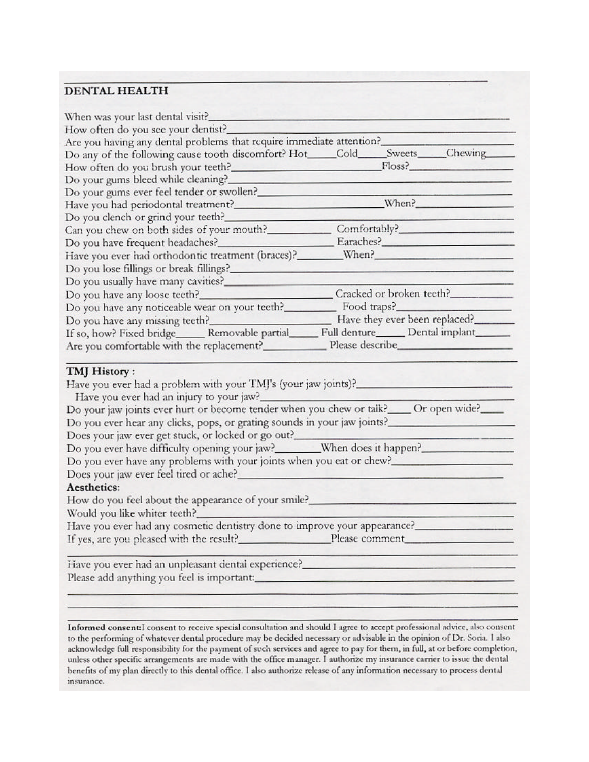#### **DENTAL HEALTH**

| When was your last dental visit?                                                                                                                                                                                                                                                                                                                                                                                                                                                                                                                 |  |  |  |
|--------------------------------------------------------------------------------------------------------------------------------------------------------------------------------------------------------------------------------------------------------------------------------------------------------------------------------------------------------------------------------------------------------------------------------------------------------------------------------------------------------------------------------------------------|--|--|--|
| How often do you see your dentist?__                                                                                                                                                                                                                                                                                                                                                                                                                                                                                                             |  |  |  |
|                                                                                                                                                                                                                                                                                                                                                                                                                                                                                                                                                  |  |  |  |
| Are you having any dental problems that require immediate attention?<br>Do any of the following cause tooth discomfort? Hot____Cold____Sweets____Chewing_____                                                                                                                                                                                                                                                                                                                                                                                    |  |  |  |
| How often do you brush your teeth?<br>Floss?                                                                                                                                                                                                                                                                                                                                                                                                                                                                                                     |  |  |  |
| Do your gums bleed while cleaning?                                                                                                                                                                                                                                                                                                                                                                                                                                                                                                               |  |  |  |
| Do your gums ever feel tender or swollen?                                                                                                                                                                                                                                                                                                                                                                                                                                                                                                        |  |  |  |
|                                                                                                                                                                                                                                                                                                                                                                                                                                                                                                                                                  |  |  |  |
| Do you clench or grind your teeth?_                                                                                                                                                                                                                                                                                                                                                                                                                                                                                                              |  |  |  |
| Can you chew on both sides of your mouth? Comfortably?                                                                                                                                                                                                                                                                                                                                                                                                                                                                                           |  |  |  |
|                                                                                                                                                                                                                                                                                                                                                                                                                                                                                                                                                  |  |  |  |
| Have you ever had orthodontic treatment (braces)? _______ When? _________________                                                                                                                                                                                                                                                                                                                                                                                                                                                                |  |  |  |
|                                                                                                                                                                                                                                                                                                                                                                                                                                                                                                                                                  |  |  |  |
| Do you usually have many cavities?                                                                                                                                                                                                                                                                                                                                                                                                                                                                                                               |  |  |  |
|                                                                                                                                                                                                                                                                                                                                                                                                                                                                                                                                                  |  |  |  |
| Do you have any noticeable wear on your teeth? Food traps?                                                                                                                                                                                                                                                                                                                                                                                                                                                                                       |  |  |  |
|                                                                                                                                                                                                                                                                                                                                                                                                                                                                                                                                                  |  |  |  |
| If so, how? Fixed bridge______ Removable partial______ Full denture______ Dental implant______                                                                                                                                                                                                                                                                                                                                                                                                                                                   |  |  |  |
| Are you comfortable with the replacement? Please describe                                                                                                                                                                                                                                                                                                                                                                                                                                                                                        |  |  |  |
| Have you ever had a problem with your TMJ's (your jaw joints)?<br>Have you ever had an injury to your jaw?<br>Do your jaw joints ever hurt or become tender when you chew or talk? ____ Or open wide?____<br>Do you ever hear any clicks, pops, or grating sounds in your jaw joints?<br>Do you ever have any problems with your joints when you eat or chew?<br>Aesthetics:<br>How do you feel about the appearance of your smile?<br>Would you like whiter teeth?<br>Have you ever had any cosmetic dentistry done to improve your appearance? |  |  |  |
|                                                                                                                                                                                                                                                                                                                                                                                                                                                                                                                                                  |  |  |  |
| If yes, are you pleased with the result?<br>Please comment                                                                                                                                                                                                                                                                                                                                                                                                                                                                                       |  |  |  |
| Have you ever had an unpleasant dental experience?_______________________________                                                                                                                                                                                                                                                                                                                                                                                                                                                                |  |  |  |

Informed consent:I consent to receive special consultation and should I agree to accept professional advice, also consent to the performing of whatever dental procedure may be decided necessary or advisable in the opinion of Dr. Soria. I also acknowledge full responsibility for the payment of such services and agree to pay for them, in full, at or before completion, unless other specific arrangements are made with the office manager. I authorize my insurance carrier to issue the dental benefits of my plan directly to this dental office. I also authorize release of any information necessary to process dental insurance.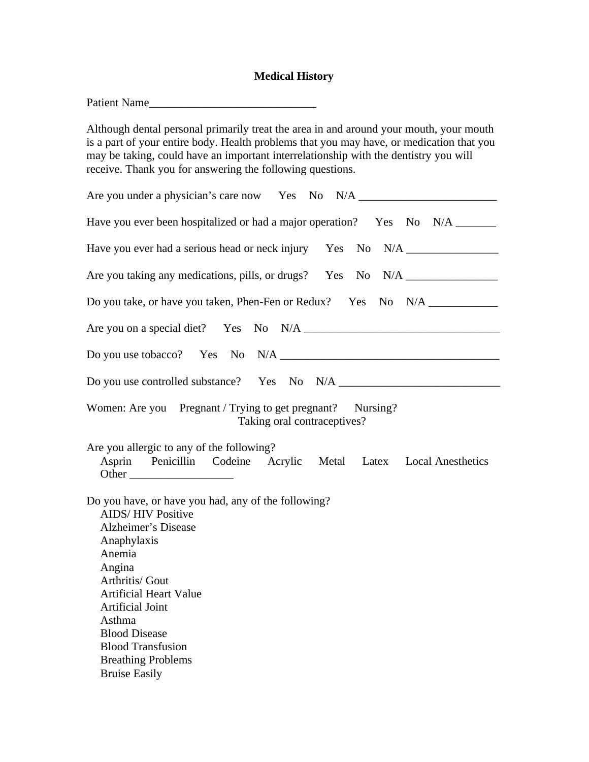## **Medical History**

| Patient Name<br><u> 1980 - Johann Barbara, martxa alemaniar amerikan basar da a</u>                                                                                                                                                                                                                                                         |
|---------------------------------------------------------------------------------------------------------------------------------------------------------------------------------------------------------------------------------------------------------------------------------------------------------------------------------------------|
| Although dental personal primarily treat the area in and around your mouth, your mouth<br>is a part of your entire body. Health problems that you may have, or medication that you<br>may be taking, could have an important interrelationship with the dentistry you will<br>receive. Thank you for answering the following questions.     |
| Are you under a physician's care now Yes No N/A _________________________________                                                                                                                                                                                                                                                           |
| Have you ever been hospitalized or had a major operation? Yes No N/A ______                                                                                                                                                                                                                                                                 |
| Have you ever had a serious head or neck injury Yes No N/A _____________________                                                                                                                                                                                                                                                            |
| Are you taking any medications, pills, or drugs? Yes No N/A ____________________                                                                                                                                                                                                                                                            |
| Do you take, or have you taken, Phen-Fen or Redux? Yes No N/A __________________                                                                                                                                                                                                                                                            |
|                                                                                                                                                                                                                                                                                                                                             |
|                                                                                                                                                                                                                                                                                                                                             |
|                                                                                                                                                                                                                                                                                                                                             |
| Women: Are you Pregnant / Trying to get pregnant? Nursing?<br>Taking oral contraceptives?                                                                                                                                                                                                                                                   |
| Are you allergic to any of the following?<br>Asprin Penicillin Codeine Acrylic Metal Latex Local Anesthetics<br>Other                                                                                                                                                                                                                       |
| Do you have, or have you had, any of the following?<br><b>AIDS/HIV Positive</b><br>Alzheimer's Disease<br>Anaphylaxis<br>Anemia<br>Angina<br>Arthritis/ Gout<br><b>Artificial Heart Value</b><br><b>Artificial Joint</b><br>Asthma<br><b>Blood Disease</b><br><b>Blood Transfusion</b><br><b>Breathing Problems</b><br><b>Bruise Easily</b> |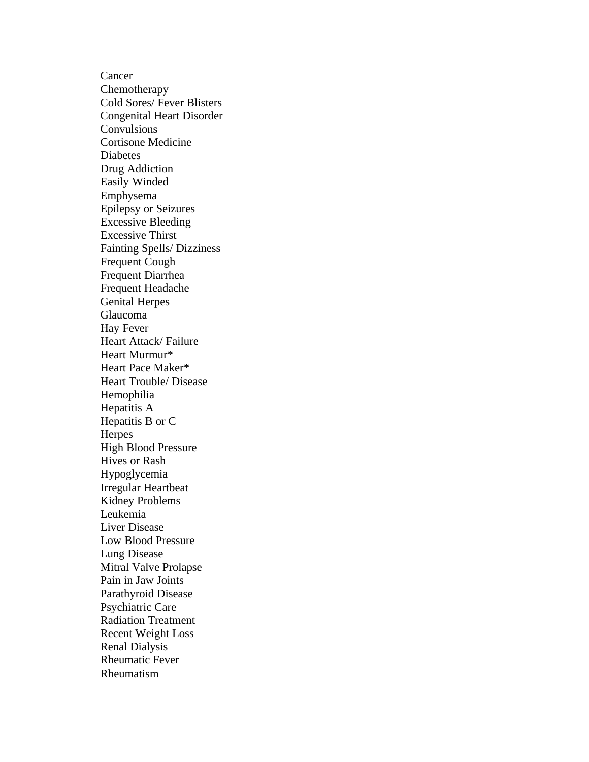Cancer Chemotherapy Cold Sores/ Fever Blisters **Congenital Heart Disorder Convulsions** Cortisone Medicine Diabetes Drug Addiction **Easily Winded** Emphysema **Epilepsy or Seizures Excessive Bleeding Excessive Thirst** Fainting Spells/ Dizziness Frequent Cough Frequent Diarrhea Frequent Headache **Genital Herpes** Glaucoma Hay Fever Heart Attack/ Failure Heart Murmur\* Heart Pace Maker\* Heart Trouble/ Disease Hemophilia Hepatitis A Hepatitis B or C Herpes High Blood Pressure Hives or Rash Hypoglycemia **Irregular Heartbeat** Kidney Problems Leukemia Liver Disease Low Blood Pressure Lung Disease Mitral Valve Prolapse Pain in Jaw Joints Parathyroid Disease Psychiatric Care **Radiation Treatment** Recent Weight Loss **Renal Dialysis** Rheumatic Fever **Rheumatism**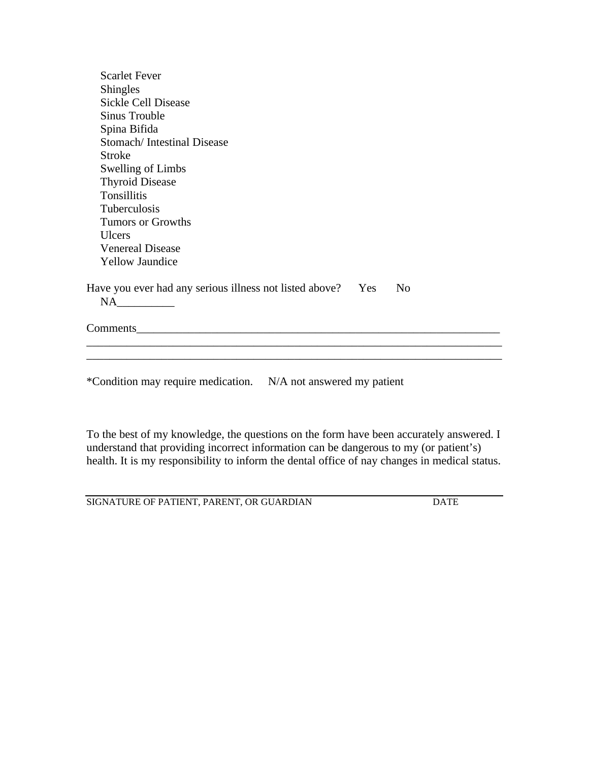| <b>Scarlet Fever</b>                                                             |
|----------------------------------------------------------------------------------|
| Shingles                                                                         |
| <b>Sickle Cell Disease</b>                                                       |
| Sinus Trouble                                                                    |
| Spina Bifida                                                                     |
| Stomach/Intestinal Disease                                                       |
| <b>Stroke</b>                                                                    |
| Swelling of Limbs                                                                |
| <b>Thyroid Disease</b>                                                           |
| <b>Tonsillitis</b>                                                               |
| <b>Tuberculosis</b>                                                              |
| Tumors or Growths                                                                |
| <b>Ulcers</b>                                                                    |
| <b>Venereal Disease</b>                                                          |
| <b>Yellow Jaundice</b>                                                           |
| Have you ever had any serious illness not listed above?<br>Yes<br>N <sub>0</sub> |
|                                                                                  |
| Comments Comments                                                                |
|                                                                                  |
|                                                                                  |
| *Condition may require medication. N/A not answered my patient                   |

To the best of my knowledge, the questions on the form have been accurately answered. I understand that providing incorrect information can be dangerous to my (or patient's) health. It is my responsibility to inform the dental office of nay changes in medical status.

SIGNATURE OF PATIENT, PARENT, OR GUARDIAN DATE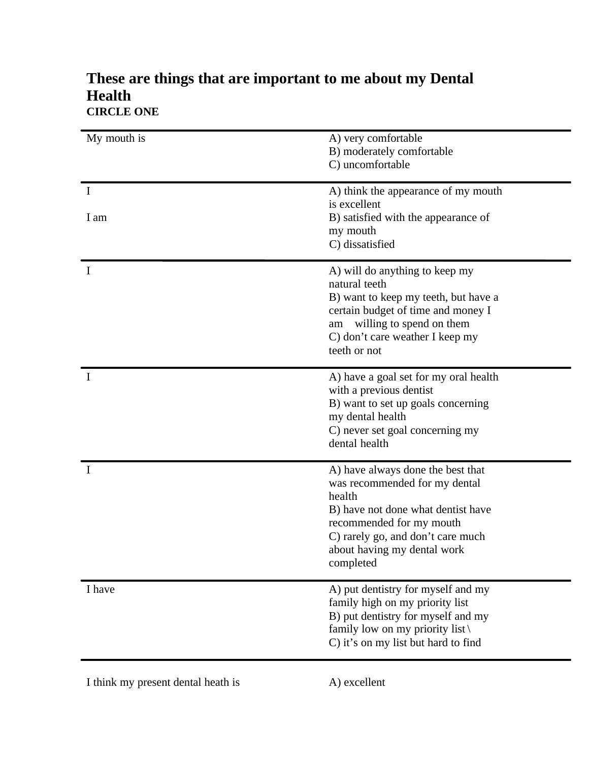| My mouth is      | A) very comfortable<br>B) moderately comfortable<br>C) uncomfortable                                                                                                                                                            |
|------------------|---------------------------------------------------------------------------------------------------------------------------------------------------------------------------------------------------------------------------------|
| $\bf{I}$<br>I am | A) think the appearance of my mouth<br>is excellent<br>B) satisfied with the appearance of<br>my mouth<br>C) dissatisfied                                                                                                       |
| Ι                | A) will do anything to keep my<br>natural teeth<br>B) want to keep my teeth, but have a<br>certain budget of time and money I<br>willing to spend on them<br>am<br>C) don't care weather I keep my<br>teeth or not              |
|                  | A) have a goal set for my oral health<br>with a previous dentist<br>B) want to set up goals concerning<br>my dental health<br>C) never set goal concerning my<br>dental health                                                  |
|                  | A) have always done the best that<br>was recommended for my dental<br>health<br>B) have not done what dentist have<br>recommended for my mouth<br>C) rarely go, and don't care much<br>about having my dental work<br>completed |
| I have           | A) put dentistry for myself and my<br>family high on my priority list<br>B) put dentistry for myself and my<br>family low on my priority list $\langle$<br>C) it's on my list but hard to find                                  |

# **These are things that are important to me about my Dental Health CIRCLE ONE**

I think my present dental heath is A) excellent